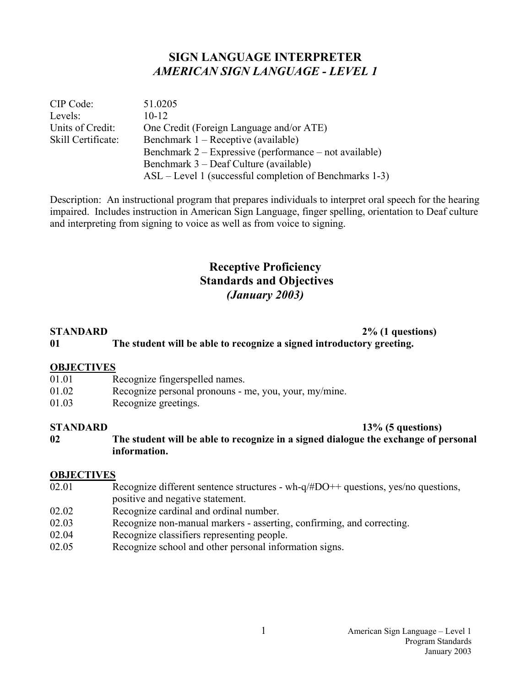## **SIGN LANGUAGE INTERPRETER**  *AMERICAN SIGN LANGUAGE - LEVEL 1*

| CIP Code:          | 51.0205                                                  |
|--------------------|----------------------------------------------------------|
| Levels:            | $10 - 12$                                                |
| Units of Credit:   | One Credit (Foreign Language and/or ATE)                 |
| Skill Certificate: | Benchmark 1 – Receptive (available)                      |
|                    | Benchmark $2 -$ Expressive (performance – not available) |
|                    | Benchmark 3 – Deaf Culture (available)                   |
|                    | ASL – Level 1 (successful completion of Benchmarks 1-3)  |

Description: An instructional program that prepares individuals to interpret oral speech for the hearing impaired. Includes instruction in American Sign Language, finger spelling, orientation to Deaf culture and interpreting from signing to voice as well as from voice to signing.

# **Receptive Proficiency Standards and Objectives**  *(January 2003)*

| <b>STANDARD</b> | $2\%$ (1 questions)                                                   |
|-----------------|-----------------------------------------------------------------------|
| 01              | The student will be able to recognize a signed introductory greeting. |

#### **OBJECTIVES**

- 01.01 Recognize fingerspelled names.
- 01.02 Recognize personal pronouns me, you, your, my/mine.
- 01.03 Recognize greetings.

#### **STANDARD** 13% (5 questions)

**02 The student will be able to recognize in a signed dialogue the exchange of personal information.** 

- 02.01 Recognize different sentence structures wh- $q/\text{\#DO++}$  questions, yes/no questions, positive and negative statement.
- 02.02 Recognize cardinal and ordinal number.
- 02.03 Recognize non-manual markers asserting, confirming, and correcting.
- 02.04 Recognize classifiers representing people.
- 02.05 Recognize school and other personal information signs.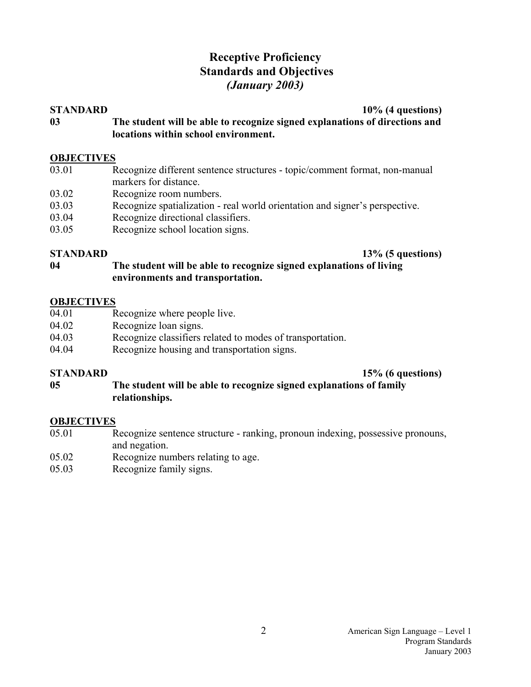# **Receptive Proficiency Standards and Objectives**  *(January 2003)*

#### **STANDARD** 10% (4 questions)

**03 The student will be able to recognize signed explanations of directions and locations within school environment.** 

# **OBJECTIVES**<br>03.01 F

- Recognize different sentence structures topic/comment format, non-manual markers for distance.
- 03.02 Recognize room numbers.
- 03.03 Recognize spatialization real world orientation and signer's perspective.
- 03.04 Recognize directional classifiers.
- 03.05 Recognize school location signs.

**STANDARD** 13% (5 questions)

**04 The student will be able to recognize signed explanations of living environments and transportation.** 

### **OBJECTIVES**

- 04.01 Recognize where people live.
- 04.02 Recognize loan signs.
- 04.03 Recognize classifiers related to modes of transportation.
- 04.04 Recognize housing and transportation signs.

### **STANDARD** 15% (6 questions)

**05 The student will be able to recognize signed explanations of family relationships.**

- 05.01 Recognize sentence structure ranking, pronoun indexing, possessive pronouns, and negation.
- 05.02 Recognize numbers relating to age.
- 05.03 Recognize family signs.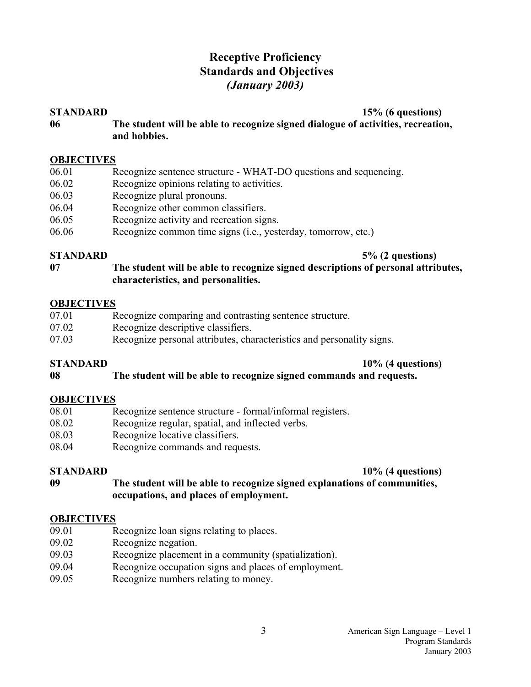# **Receptive Proficiency Standards and Objectives**  *(January 2003)*

**STANDARD** 15% (6 questions)

**06 The student will be able to recognize signed dialogue of activities, recreation, and hobbies.** 

#### **OBJECTIVES**

- 06.01 Recognize sentence structure WHAT-DO questions and sequencing.
- 06.02 Recognize opinions relating to activities.
- 06.03 Recognize plural pronouns.
- 06.04 Recognize other common classifiers.
- 06.05 Recognize activity and recreation signs.
- 06.06 Recognize common time signs (i.e., yesterday, tomorrow, etc.)

**STANDARD** 5% (2 questions)

**07 The student will be able to recognize signed descriptions of personal attributes, characteristics, and personalities.** 

#### **OBJECTIVES**

- 07.01 Recognize comparing and contrasting sentence structure.
- 07.02 Recognize descriptive classifiers.
- 07.03 Recognize personal attributes, characteristics and personality signs.

#### **STANDARD** 10% (4 questions)

### **08 The student will be able to recognize signed commands and requests.**

### **OBJECTIVES**

- 08.01 Recognize sentence structure formal/informal registers.
- 08.02 Recognize regular, spatial, and inflected verbs.
- 08.03 Recognize locative classifiers.
- 08.04 Recognize commands and requests.

#### **STANDARD** 10% (4 questions)

**09 The student will be able to recognize signed explanations of communities, occupations, and places of employment.** 

- 09.01 Recognize loan signs relating to places.
- 09.02 Recognize negation.
- 09.03 Recognize placement in a community (spatialization).
- 09.04 Recognize occupation signs and places of employment.
- 09.05 Recognize numbers relating to money.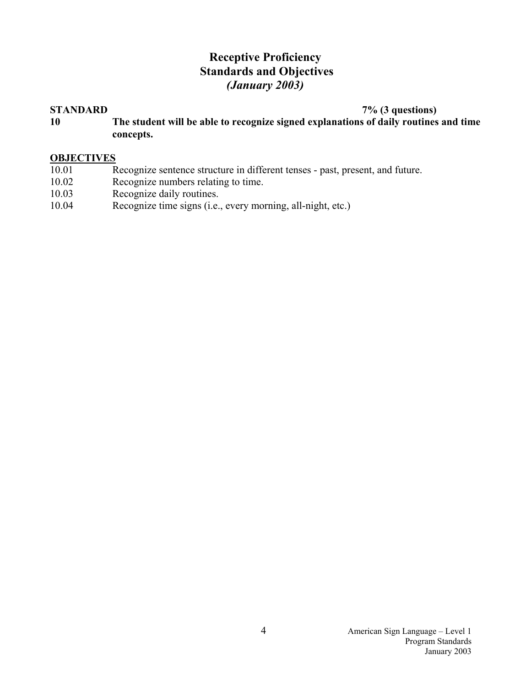# **Receptive Proficiency Standards and Objectives**  *(January 2003)*

**STANDARD 7% (3 questions)** 

**10 The student will be able to recognize signed explanations of daily routines and time concepts.** 

# **OBJECTIVES**<br>10.01 R

- <sub>Recognize sentence structure in different tenses past, present, and future.</sub>
- 10.02 Recognize numbers relating to time.
- 10.03 Recognize daily routines.
- 10.04 Recognize time signs (i.e., every morning, all-night, etc.)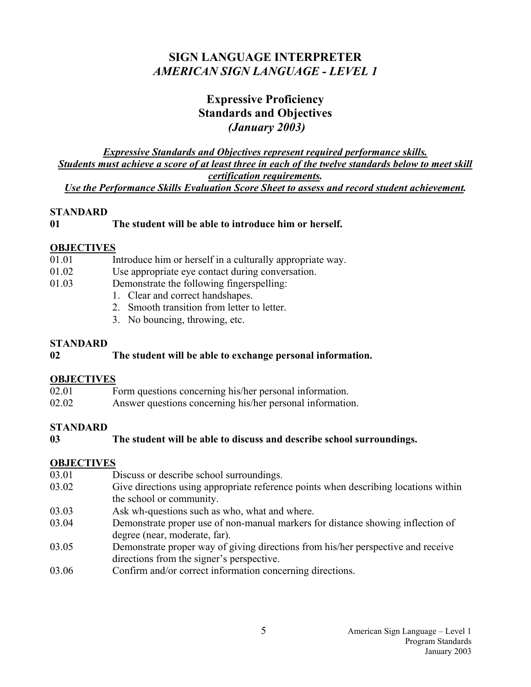# **SIGN LANGUAGE INTERPRETER**  *AMERICAN SIGN LANGUAGE - LEVEL 1*

# **Expressive Proficiency Standards and Objectives**   *(January 2003)*

*Expressive Standards and Objectives represent required performance skills. Students must achieve a score of at least three in each of the twelve standards below to meet skill certification requirements. Use the Performance Skills Evaluation Score Sheet to assess and record student achievement.* 

#### **STANDARD**

### **01 The student will be able to introduce him or herself.**

### **OBJECTIVES**

- 01.01 Introduce him or herself in a culturally appropriate way.
- 01.02 Use appropriate eye contact during conversation.
- 01.03 Demonstrate the following fingerspelling:
	- 1. Clear and correct handshapes.
	- 2. Smooth transition from letter to letter.
	- 3. No bouncing, throwing, etc.

### **STANDARD**

### **02 The student will be able to exchange personal information.**

### **OBJECTIVES**

- 02.01 Form questions concerning his/her personal information.
- 02.02 Answer questions concerning his/her personal information.

### **STANDARD**

### **03 The student will be able to discuss and describe school surroundings.**

### **OBJECTIVES**

03.01 Discuss or describe school surroundings. 03.02 Give directions using appropriate reference points when describing locations within the school or community. 03.03 Ask wh-questions such as who, what and where. 03.04 Demonstrate proper use of non-manual markers for distance showing inflection of degree (near, moderate, far). 03.05 Demonstrate proper way of giving directions from his/her perspective and receive directions from the signer's perspective. 03.06 Confirm and/or correct information concerning directions.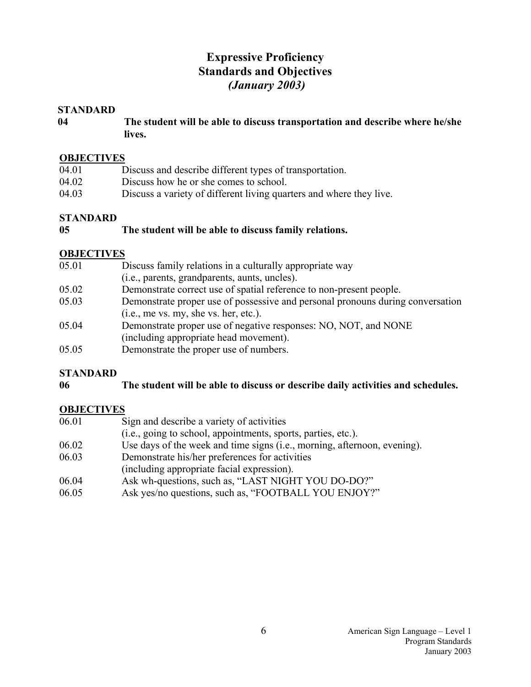# **Expressive Proficiency Standards and Objectives**   *(January 2003)*

#### **STANDARD**

**04 The student will be able to discuss transportation and describe where he/she lives.**

#### **OBJECTIVES**

| 04.01 | Discuss and describe different types of transportation.             |
|-------|---------------------------------------------------------------------|
| 04.02 | Discuss how he or she comes to school.                              |
| 04.03 | Discuss a variety of different living quarters and where they live. |

### **STANDARD**

#### **05 The student will be able to discuss family relations.**

### **OBJECTIVES**

| 05.01 | Discuss family relations in a culturally appropriate way                       |
|-------|--------------------------------------------------------------------------------|
|       | (i.e., parents, grandparents, aunts, uncles).                                  |
| 05.02 | Demonstrate correct use of spatial reference to non-present people.            |
| 05.03 | Demonstrate proper use of possessive and personal pronouns during conversation |
|       | (i.e., me vs. my, she vs. her, etc.).                                          |
| 05.04 | Demonstrate proper use of negative responses: NO, NOT, and NONE                |
|       | (including appropriate head movement).                                         |
| 05.05 | Demonstrate the proper use of numbers.                                         |

### **STANDARD**

#### **06 The student will be able to discuss or describe daily activities and schedules.**

| 06.01 | Sign and describe a variety of activities                                |
|-------|--------------------------------------------------------------------------|
|       | (i.e., going to school, appointments, sports, parties, etc.).            |
| 06.02 | Use days of the week and time signs (i.e., morning, afternoon, evening). |
| 06.03 | Demonstrate his/her preferences for activities                           |
|       | (including appropriate facial expression).                               |

- 06.04 Ask wh-questions, such as, "LAST NIGHT YOU DO-DO?"
- 06.05 Ask yes/no questions, such as, "FOOTBALL YOU ENJOY?"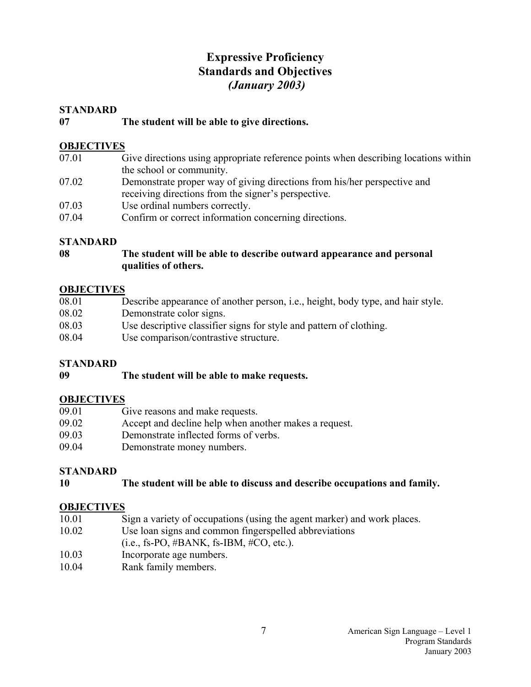# **Expressive Proficiency Standards and Objectives**   *(January 2003)*

#### **STANDARD**

#### **07 The student will be able to give directions.**

#### **OBJECTIVES**

- 07.01 Give directions using appropriate reference points when describing locations within the school or community.
- 07.02 Demonstrate proper way of giving directions from his/her perspective and receiving directions from the signer's perspective.
- 07.03 Use ordinal numbers correctly.
- 07.04 Confirm or correct information concerning directions.

### **STANDARD**

### **08 The student will be able to describe outward appearance and personal qualities of others.**

#### **OBJECTIVES**

| 08.01 | Describe appearance of another person, i.e., height, body type, and hair style. |
|-------|---------------------------------------------------------------------------------|
| 08.02 | Demonstrate color signs.                                                        |
| 08.03 | Use descriptive classifier signs for style and pattern of clothing.             |
| 08.04 | Use comparison/contrastive structure.                                           |

### **STANDARD**

#### **09 The student will be able to make requests.**

### **OBJECTIVES**

- 09.01 Give reasons and make requests.
- 09.02 Accept and decline help when another makes a request.
- 09.03 Demonstrate inflected forms of verbs.
- 09.04 Demonstrate money numbers.

### **STANDARD**

**10 The student will be able to discuss and describe occupations and family.**

- 10.01 Sign a variety of occupations (using the agent marker) and work places.
- 10.02 Use loan signs and common fingerspelled abbreviations
- $(i.e., fs-PO, #BANK, fs-IBM, #CO, etc.).$
- 10.03 Incorporate age numbers.
- 10.04 Rank family members.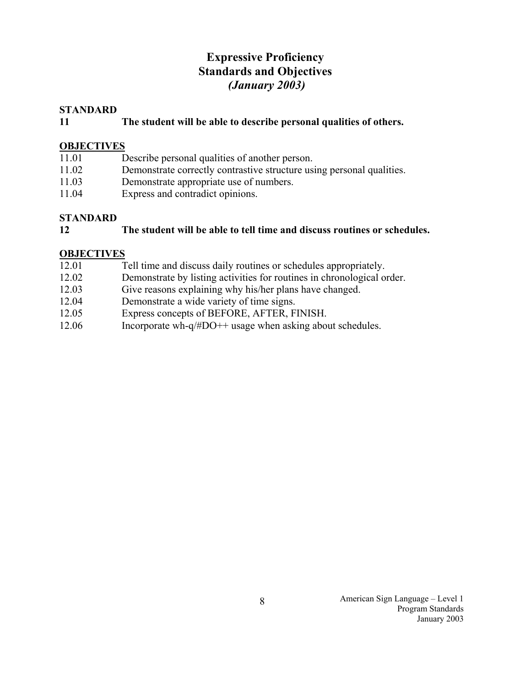# **Expressive Proficiency Standards and Objectives**   *(January 2003)*

#### **STANDARD**

#### **11 The student will be able to describe personal qualities of others.**

#### **OBJECTIVES**

- 11.01 Describe personal qualities of another person.
- 11.02 Demonstrate correctly contrastive structure using personal qualities.
- 11.03 Demonstrate appropriate use of numbers.
- 11.04 Express and contradict opinions.

#### **STANDARD**

#### **12 The student will be able to tell time and discuss routines or schedules.**

- 12.01 Tell time and discuss daily routines or schedules appropriately.
- 12.02 Demonstrate by listing activities for routines in chronological order.
- 12.03 Give reasons explaining why his/her plans have changed.
- 12.04 Demonstrate a wide variety of time signs.
- 12.05 Express concepts of BEFORE, AFTER, FINISH.
- 12.06 Incorporate wh-q/#DO++ usage when asking about schedules.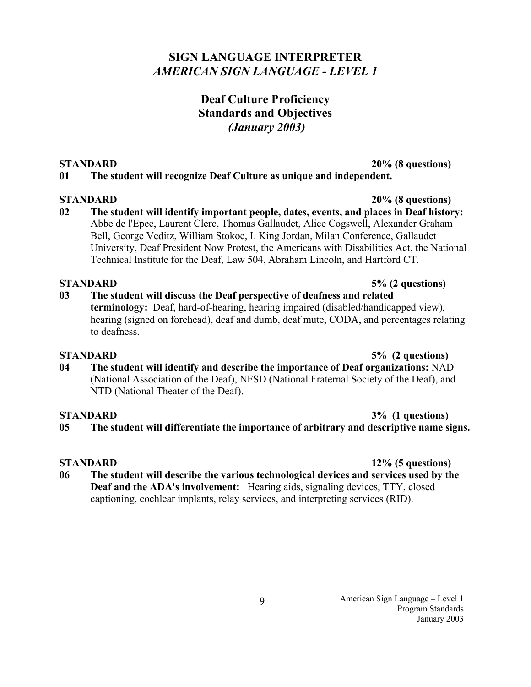# **SIGN LANGUAGE INTERPRETER**  *AMERICAN SIGN LANGUAGE - LEVEL 1*

# **Deaf Culture Proficiency Standards and Objectives**   *(January 2003)*

#### **STANDARD** 20% (8 questions)

### **01 The student will recognize Deaf Culture as unique and independent.**

### **STANDARD 20% (8 questions)**

**02 The student will identify important people, dates, events, and places in Deaf history:**  Abbe de l'Epee, Laurent Clerc, Thomas Gallaudet, Alice Cogswell, Alexander Graham Bell, George Veditz, William Stokoe, I. King Jordan, Milan Conference, Gallaudet University, Deaf President Now Protest, the Americans with Disabilities Act, the National Technical Institute for the Deaf, Law 504, Abraham Lincoln, and Hartford CT.

### **STANDARD 5% (2 questions)**

**03 The student will discuss the Deaf perspective of deafness and related terminology:** Deaf, hard-of-hearing, hearing impaired (disabled/handicapped view), hearing (signed on forehead), deaf and dumb, deaf mute, CODA, and percentages relating to deafness.

### **STANDARD 5% (2 questions)**

**04 The student will identify and describe the importance of Deaf organizations:** NAD (National Association of the Deaf), NFSD (National Fraternal Society of the Deaf), and NTD (National Theater of the Deaf).

# **STANDARD** 3% (1 questions)

**05 The student will differentiate the importance of arbitrary and descriptive name signs.** 

# **STANDARD 12% (5 questions)**

**06 The student will describe the various technological devices and services used by the Deaf and the ADA's involvement:** Hearing aids, signaling devices, TTY, closed captioning, cochlear implants, relay services, and interpreting services (RID).